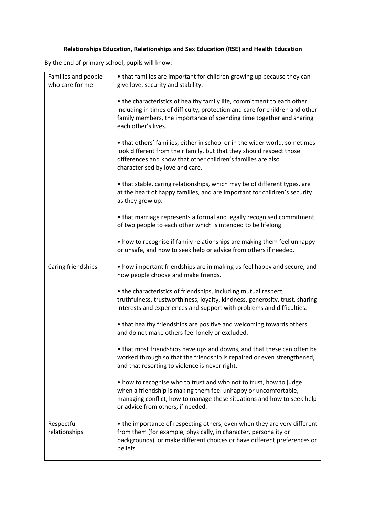## **Relationships Education, Relationships and Sex Education (RSE) and Health Education**

By the end of primary school, pupils will know:

| Families and people<br>who care for me | • that families are important for children growing up because they can<br>give love, security and stability.                                                                                                                                           |
|----------------------------------------|--------------------------------------------------------------------------------------------------------------------------------------------------------------------------------------------------------------------------------------------------------|
|                                        | • the characteristics of healthy family life, commitment to each other,<br>including in times of difficulty, protection and care for children and other<br>family members, the importance of spending time together and sharing<br>each other's lives. |
|                                        | • that others' families, either in school or in the wider world, sometimes<br>look different from their family, but that they should respect those<br>differences and know that other children's families are also<br>characterised by love and care.  |
|                                        | • that stable, caring relationships, which may be of different types, are<br>at the heart of happy families, and are important for children's security<br>as they grow up.                                                                             |
|                                        | • that marriage represents a formal and legally recognised commitment<br>of two people to each other which is intended to be lifelong.                                                                                                                 |
|                                        | • how to recognise if family relationships are making them feel unhappy<br>or unsafe, and how to seek help or advice from others if needed.                                                                                                            |
| Caring friendships                     | • how important friendships are in making us feel happy and secure, and<br>how people choose and make friends.                                                                                                                                         |
|                                        | • the characteristics of friendships, including mutual respect,<br>truthfulness, trustworthiness, loyalty, kindness, generosity, trust, sharing<br>interests and experiences and support with problems and difficulties.                               |
|                                        | • that healthy friendships are positive and welcoming towards others,<br>and do not make others feel lonely or excluded.                                                                                                                               |
|                                        | • that most friendships have ups and downs, and that these can often be<br>worked through so that the friendship is repaired or even strengthened,<br>and that resorting to violence is never right.                                                   |
|                                        | • how to recognise who to trust and who not to trust, how to judge<br>when a friendship is making them feel unhappy or uncomfortable,<br>managing conflict, how to manage these situations and how to seek help<br>or advice from others, if needed.   |
| Respectful<br>relationships            | • the importance of respecting others, even when they are very different<br>from them (for example, physically, in character, personality or<br>backgrounds), or make different choices or have different preferences or<br>beliefs.                   |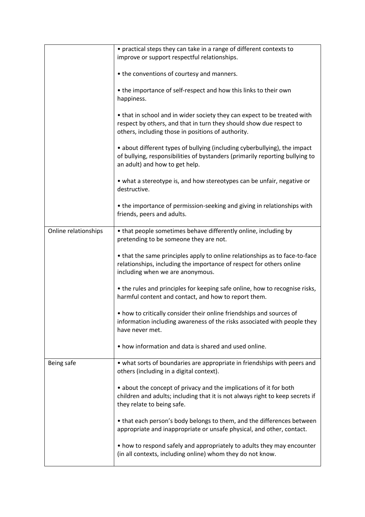|                      | • practical steps they can take in a range of different contexts to                                                                                                                                   |
|----------------------|-------------------------------------------------------------------------------------------------------------------------------------------------------------------------------------------------------|
|                      | improve or support respectful relationships.                                                                                                                                                          |
|                      |                                                                                                                                                                                                       |
|                      | • the conventions of courtesy and manners.                                                                                                                                                            |
|                      | • the importance of self-respect and how this links to their own                                                                                                                                      |
|                      | happiness.                                                                                                                                                                                            |
|                      |                                                                                                                                                                                                       |
|                      | • that in school and in wider society they can expect to be treated with<br>respect by others, and that in turn they should show due respect to<br>others, including those in positions of authority. |
|                      | • about different types of bullying (including cyberbullying), the impact<br>of bullying, responsibilities of bystanders (primarily reporting bullying to                                             |
|                      | an adult) and how to get help.                                                                                                                                                                        |
|                      | • what a stereotype is, and how stereotypes can be unfair, negative or<br>destructive.                                                                                                                |
|                      |                                                                                                                                                                                                       |
|                      | • the importance of permission-seeking and giving in relationships with<br>friends, peers and adults.                                                                                                 |
|                      |                                                                                                                                                                                                       |
| Online relationships | • that people sometimes behave differently online, including by<br>pretending to be someone they are not.                                                                                             |
|                      | • that the same principles apply to online relationships as to face-to-face                                                                                                                           |
|                      | relationships, including the importance of respect for others online<br>including when we are anonymous.                                                                                              |
|                      | • the rules and principles for keeping safe online, how to recognise risks,<br>harmful content and contact, and how to report them.                                                                   |
|                      | • how to critically consider their online friendships and sources of<br>information including awareness of the risks associated with people they<br>have never met.                                   |
|                      | • how information and data is shared and used online.                                                                                                                                                 |
| Being safe           | • what sorts of boundaries are appropriate in friendships with peers and<br>others (including in a digital context).                                                                                  |
|                      | • about the concept of privacy and the implications of it for both<br>children and adults; including that it is not always right to keep secrets if<br>they relate to being safe.                     |
|                      | • that each person's body belongs to them, and the differences between<br>appropriate and inappropriate or unsafe physical, and other, contact.                                                       |
|                      | • how to respond safely and appropriately to adults they may encounter<br>(in all contexts, including online) whom they do not know.                                                                  |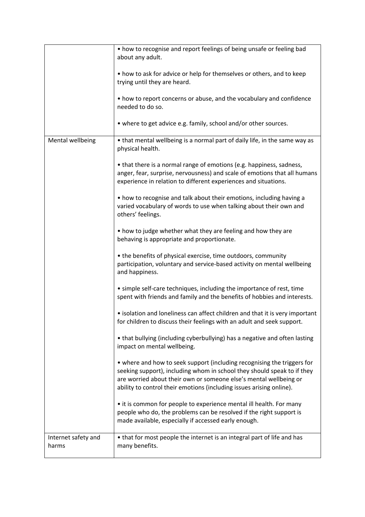|                              | • how to recognise and report feelings of being unsafe or feeling bad<br>about any adult.                                                                                                                                                                                                       |
|------------------------------|-------------------------------------------------------------------------------------------------------------------------------------------------------------------------------------------------------------------------------------------------------------------------------------------------|
|                              | • how to ask for advice or help for themselves or others, and to keep<br>trying until they are heard.                                                                                                                                                                                           |
|                              | • how to report concerns or abuse, and the vocabulary and confidence<br>needed to do so.                                                                                                                                                                                                        |
|                              | • where to get advice e.g. family, school and/or other sources.                                                                                                                                                                                                                                 |
| Mental wellbeing             | • that mental wellbeing is a normal part of daily life, in the same way as<br>physical health.                                                                                                                                                                                                  |
|                              | • that there is a normal range of emotions (e.g. happiness, sadness,<br>anger, fear, surprise, nervousness) and scale of emotions that all humans<br>experience in relation to different experiences and situations.                                                                            |
|                              | • how to recognise and talk about their emotions, including having a<br>varied vocabulary of words to use when talking about their own and<br>others' feelings.                                                                                                                                 |
|                              | • how to judge whether what they are feeling and how they are<br>behaving is appropriate and proportionate.                                                                                                                                                                                     |
|                              | • the benefits of physical exercise, time outdoors, community<br>participation, voluntary and service-based activity on mental wellbeing<br>and happiness.                                                                                                                                      |
|                              | • simple self-care techniques, including the importance of rest, time<br>spent with friends and family and the benefits of hobbies and interests.                                                                                                                                               |
|                              | • isolation and loneliness can affect children and that it is very important<br>for children to discuss their feelings with an adult and seek support.                                                                                                                                          |
|                              | • that bullying (including cyberbullying) has a negative and often lasting<br>impact on mental wellbeing.                                                                                                                                                                                       |
|                              | • where and how to seek support (including recognising the triggers for<br>seeking support), including whom in school they should speak to if they<br>are worried about their own or someone else's mental wellbeing or<br>ability to control their emotions (including issues arising online). |
|                              | • it is common for people to experience mental ill health. For many<br>people who do, the problems can be resolved if the right support is<br>made available, especially if accessed early enough.                                                                                              |
| Internet safety and<br>harms | • that for most people the internet is an integral part of life and has<br>many benefits.                                                                                                                                                                                                       |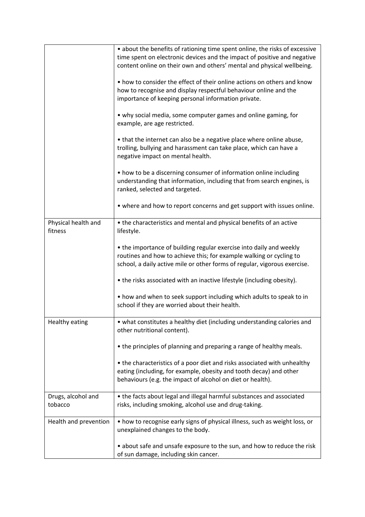|                                | • about the benefits of rationing time spent online, the risks of excessive<br>time spent on electronic devices and the impact of positive and negative<br>content online on their own and others' mental and physical wellbeing. |
|--------------------------------|-----------------------------------------------------------------------------------------------------------------------------------------------------------------------------------------------------------------------------------|
|                                | • how to consider the effect of their online actions on others and know<br>how to recognise and display respectful behaviour online and the<br>importance of keeping personal information private.                                |
|                                | • why social media, some computer games and online gaming, for<br>example, are age restricted.                                                                                                                                    |
|                                | • that the internet can also be a negative place where online abuse,<br>trolling, bullying and harassment can take place, which can have a<br>negative impact on mental health.                                                   |
|                                | • how to be a discerning consumer of information online including<br>understanding that information, including that from search engines, is<br>ranked, selected and targeted.                                                     |
|                                | • where and how to report concerns and get support with issues online.                                                                                                                                                            |
| Physical health and<br>fitness | • the characteristics and mental and physical benefits of an active<br>lifestyle.                                                                                                                                                 |
|                                | • the importance of building regular exercise into daily and weekly<br>routines and how to achieve this; for example walking or cycling to<br>school, a daily active mile or other forms of regular, vigorous exercise.           |
|                                | • the risks associated with an inactive lifestyle (including obesity).                                                                                                                                                            |
|                                | • how and when to seek support including which adults to speak to in<br>school if they are worried about their health.                                                                                                            |
| <b>Healthy eating</b>          | • what constitutes a healthy diet (including understanding calories and<br>other nutritional content).                                                                                                                            |
|                                | • the principles of planning and preparing a range of healthy meals.                                                                                                                                                              |
|                                | • the characteristics of a poor diet and risks associated with unhealthy<br>eating (including, for example, obesity and tooth decay) and other<br>behaviours (e.g. the impact of alcohol on diet or health).                      |
| Drugs, alcohol and<br>tobacco  | • the facts about legal and illegal harmful substances and associated<br>risks, including smoking, alcohol use and drug-taking.                                                                                                   |
| Health and prevention          | • how to recognise early signs of physical illness, such as weight loss, or<br>unexplained changes to the body.                                                                                                                   |
|                                | • about safe and unsafe exposure to the sun, and how to reduce the risk<br>of sun damage, including skin cancer.                                                                                                                  |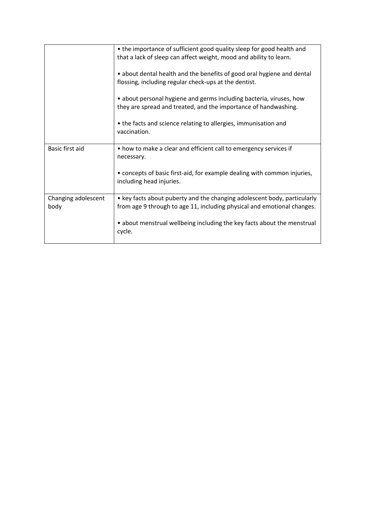|                             | • the importance of sufficient good quality sleep for good health and<br>that a lack of sleep can affect weight, mood and ability to learn.         |
|-----------------------------|-----------------------------------------------------------------------------------------------------------------------------------------------------|
|                             | • about dental health and the benefits of good oral hygiene and dental<br>flossing, including regular check-ups at the dentist.                     |
|                             | · about personal hygiene and germs including bacteria, viruses, how<br>they are spread and treated, and the importance of handwashing.              |
|                             | • the facts and science relating to allergies, immunisation and<br>vaccination.                                                                     |
| Basic first aid             | • how to make a clear and efficient call to emergency services if<br>necessary.                                                                     |
|                             | • concepts of basic first-aid, for example dealing with common injuries,<br>including head injuries.                                                |
| Changing adolescent<br>body | • key facts about puberty and the changing adolescent body, particularly<br>from age 9 through to age 11, including physical and emotional changes. |
|                             | • about menstrual wellbeing including the key facts about the menstrual<br>cvcle.                                                                   |
|                             |                                                                                                                                                     |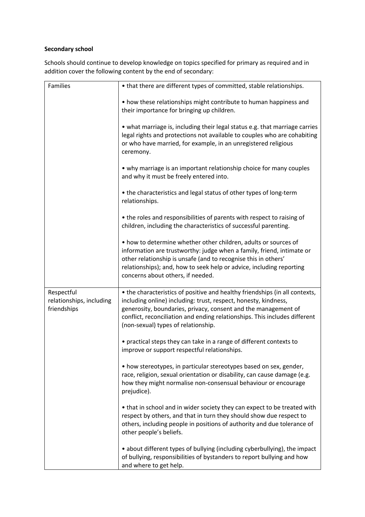## **Secondary school**

Schools should continue to develop knowledge on topics specified for primary as required and in addition cover the following content by the end of secondary:

| Families                                              | • that there are different types of committed, stable relationships.                                                                                                                                                                                                                                                                  |
|-------------------------------------------------------|---------------------------------------------------------------------------------------------------------------------------------------------------------------------------------------------------------------------------------------------------------------------------------------------------------------------------------------|
|                                                       | • how these relationships might contribute to human happiness and<br>their importance for bringing up children.                                                                                                                                                                                                                       |
|                                                       | • what marriage is, including their legal status e.g. that marriage carries<br>legal rights and protections not available to couples who are cohabiting<br>or who have married, for example, in an unregistered religious<br>ceremony.                                                                                                |
|                                                       | • why marriage is an important relationship choice for many couples<br>and why it must be freely entered into.                                                                                                                                                                                                                        |
|                                                       | • the characteristics and legal status of other types of long-term<br>relationships.                                                                                                                                                                                                                                                  |
|                                                       | • the roles and responsibilities of parents with respect to raising of<br>children, including the characteristics of successful parenting.                                                                                                                                                                                            |
|                                                       | • how to determine whether other children, adults or sources of<br>information are trustworthy: judge when a family, friend, intimate or<br>other relationship is unsafe (and to recognise this in others'<br>relationships); and, how to seek help or advice, including reporting<br>concerns about others, if needed.               |
| Respectful<br>relationships, including<br>friendships | • the characteristics of positive and healthy friendships (in all contexts,<br>including online) including: trust, respect, honesty, kindness,<br>generosity, boundaries, privacy, consent and the management of<br>conflict, reconciliation and ending relationships. This includes different<br>(non-sexual) types of relationship. |
|                                                       | • practical steps they can take in a range of different contexts to<br>improve or support respectful relationships.                                                                                                                                                                                                                   |
|                                                       | • how stereotypes, in particular stereotypes based on sex, gender,<br>race, religion, sexual orientation or disability, can cause damage (e.g.<br>how they might normalise non-consensual behaviour or encourage<br>prejudice).                                                                                                       |
|                                                       | • that in school and in wider society they can expect to be treated with<br>respect by others, and that in turn they should show due respect to<br>others, including people in positions of authority and due tolerance of<br>other people's beliefs.                                                                                 |
|                                                       | • about different types of bullying (including cyberbullying), the impact<br>of bullying, responsibilities of bystanders to report bullying and how<br>and where to get help.                                                                                                                                                         |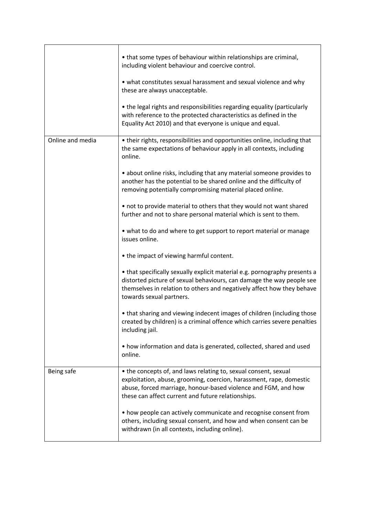|                  | • that some types of behaviour within relationships are criminal,<br>including violent behaviour and coercive control.<br>• what constitutes sexual harassment and sexual violence and why<br>these are always unacceptable.<br>• the legal rights and responsibilities regarding equality (particularly<br>with reference to the protected characteristics as defined in the<br>Equality Act 2010) and that everyone is unique and equal.                                                                                                                                                                                                                                                                                                                                                                                                                                                                                                                                                                                                                                                                                                                                         |
|------------------|------------------------------------------------------------------------------------------------------------------------------------------------------------------------------------------------------------------------------------------------------------------------------------------------------------------------------------------------------------------------------------------------------------------------------------------------------------------------------------------------------------------------------------------------------------------------------------------------------------------------------------------------------------------------------------------------------------------------------------------------------------------------------------------------------------------------------------------------------------------------------------------------------------------------------------------------------------------------------------------------------------------------------------------------------------------------------------------------------------------------------------------------------------------------------------|
| Online and media | • their rights, responsibilities and opportunities online, including that<br>the same expectations of behaviour apply in all contexts, including<br>online.<br>• about online risks, including that any material someone provides to<br>another has the potential to be shared online and the difficulty of<br>removing potentially compromising material placed online.<br>• not to provide material to others that they would not want shared<br>further and not to share personal material which is sent to them.<br>• what to do and where to get support to report material or manage<br>issues online.<br>• the impact of viewing harmful content.<br>• that specifically sexually explicit material e.g. pornography presents a<br>distorted picture of sexual behaviours, can damage the way people see<br>themselves in relation to others and negatively affect how they behave<br>towards sexual partners.<br>• that sharing and viewing indecent images of children (including those<br>created by children) is a criminal offence which carries severe penalties<br>including jail.<br>• how information and data is generated, collected, shared and used<br>online. |
| Being safe       | • the concepts of, and laws relating to, sexual consent, sexual<br>exploitation, abuse, grooming, coercion, harassment, rape, domestic<br>abuse, forced marriage, honour-based violence and FGM, and how<br>these can affect current and future relationships.<br>• how people can actively communicate and recognise consent from<br>others, including sexual consent, and how and when consent can be<br>withdrawn (in all contexts, including online).                                                                                                                                                                                                                                                                                                                                                                                                                                                                                                                                                                                                                                                                                                                          |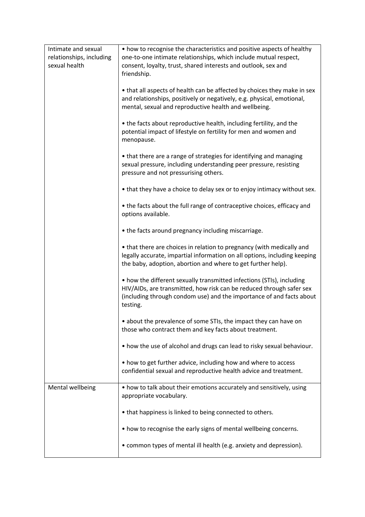| Intimate and sexual<br>relationships, including | • how to recognise the characteristics and positive aspects of healthy<br>one-to-one intimate relationships, which include mutual respect,                                                                                        |
|-------------------------------------------------|-----------------------------------------------------------------------------------------------------------------------------------------------------------------------------------------------------------------------------------|
| sexual health                                   | consent, loyalty, trust, shared interests and outlook, sex and<br>friendship.                                                                                                                                                     |
|                                                 | • that all aspects of health can be affected by choices they make in sex<br>and relationships, positively or negatively, e.g. physical, emotional,<br>mental, sexual and reproductive health and wellbeing.                       |
|                                                 | • the facts about reproductive health, including fertility, and the<br>potential impact of lifestyle on fertility for men and women and<br>menopause.                                                                             |
|                                                 | • that there are a range of strategies for identifying and managing<br>sexual pressure, including understanding peer pressure, resisting<br>pressure and not pressurising others.                                                 |
|                                                 | • that they have a choice to delay sex or to enjoy intimacy without sex.                                                                                                                                                          |
|                                                 | • the facts about the full range of contraceptive choices, efficacy and<br>options available.                                                                                                                                     |
|                                                 | • the facts around pregnancy including miscarriage.                                                                                                                                                                               |
|                                                 | • that there are choices in relation to pregnancy (with medically and<br>legally accurate, impartial information on all options, including keeping<br>the baby, adoption, abortion and where to get further help).                |
|                                                 | • how the different sexually transmitted infections (STIs), including<br>HIV/AIDs, are transmitted, how risk can be reduced through safer sex<br>(including through condom use) and the importance of and facts about<br>testing. |
|                                                 | • about the prevalence of some STIs, the impact they can have on<br>those who contract them and key facts about treatment.                                                                                                        |
|                                                 | • how the use of alcohol and drugs can lead to risky sexual behaviour.                                                                                                                                                            |
|                                                 | • how to get further advice, including how and where to access<br>confidential sexual and reproductive health advice and treatment.                                                                                               |
| Mental wellbeing                                | • how to talk about their emotions accurately and sensitively, using<br>appropriate vocabulary.                                                                                                                                   |
|                                                 | • that happiness is linked to being connected to others.                                                                                                                                                                          |
|                                                 | • how to recognise the early signs of mental wellbeing concerns.                                                                                                                                                                  |
|                                                 | • common types of mental ill health (e.g. anxiety and depression).                                                                                                                                                                |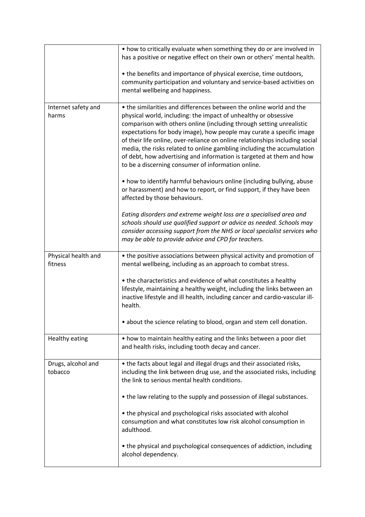|                                | • how to critically evaluate when something they do or are involved in<br>has a positive or negative effect on their own or others' mental health.                                                                                                                                                                                                                                                                                                                                                                                                                             |
|--------------------------------|--------------------------------------------------------------------------------------------------------------------------------------------------------------------------------------------------------------------------------------------------------------------------------------------------------------------------------------------------------------------------------------------------------------------------------------------------------------------------------------------------------------------------------------------------------------------------------|
|                                | • the benefits and importance of physical exercise, time outdoors,<br>community participation and voluntary and service-based activities on<br>mental wellbeing and happiness.                                                                                                                                                                                                                                                                                                                                                                                                 |
| Internet safety and<br>harms   | • the similarities and differences between the online world and the<br>physical world, including: the impact of unhealthy or obsessive<br>comparison with others online (including through setting unrealistic<br>expectations for body image), how people may curate a specific image<br>of their life online, over-reliance on online relationships including social<br>media, the risks related to online gambling including the accumulation<br>of debt, how advertising and information is targeted at them and how<br>to be a discerning consumer of information online. |
|                                | • how to identify harmful behaviours online (including bullying, abuse<br>or harassment) and how to report, or find support, if they have been<br>affected by those behaviours.                                                                                                                                                                                                                                                                                                                                                                                                |
|                                | Eating disorders and extreme weight loss are a specialised area and<br>schools should use qualified support or advice as needed. Schools may<br>consider accessing support from the NHS or local specialist services who<br>may be able to provide advice and CPD for teachers.                                                                                                                                                                                                                                                                                                |
| Physical health and<br>fitness | • the positive associations between physical activity and promotion of<br>mental wellbeing, including as an approach to combat stress.                                                                                                                                                                                                                                                                                                                                                                                                                                         |
|                                | • the characteristics and evidence of what constitutes a healthy<br>lifestyle, maintaining a healthy weight, including the links between an<br>inactive lifestyle and ill health, including cancer and cardio-vascular ill-<br>health.                                                                                                                                                                                                                                                                                                                                         |
|                                | • about the science relating to blood, organ and stem cell donation.                                                                                                                                                                                                                                                                                                                                                                                                                                                                                                           |
| <b>Healthy eating</b>          | • how to maintain healthy eating and the links between a poor diet<br>and health risks, including tooth decay and cancer.                                                                                                                                                                                                                                                                                                                                                                                                                                                      |
| Drugs, alcohol and<br>tobacco  | • the facts about legal and illegal drugs and their associated risks,<br>including the link between drug use, and the associated risks, including<br>the link to serious mental health conditions.                                                                                                                                                                                                                                                                                                                                                                             |
|                                | • the law relating to the supply and possession of illegal substances.                                                                                                                                                                                                                                                                                                                                                                                                                                                                                                         |
|                                | • the physical and psychological risks associated with alcohol<br>consumption and what constitutes low risk alcohol consumption in<br>adulthood.                                                                                                                                                                                                                                                                                                                                                                                                                               |
|                                | • the physical and psychological consequences of addiction, including<br>alcohol dependency.                                                                                                                                                                                                                                                                                                                                                                                                                                                                                   |